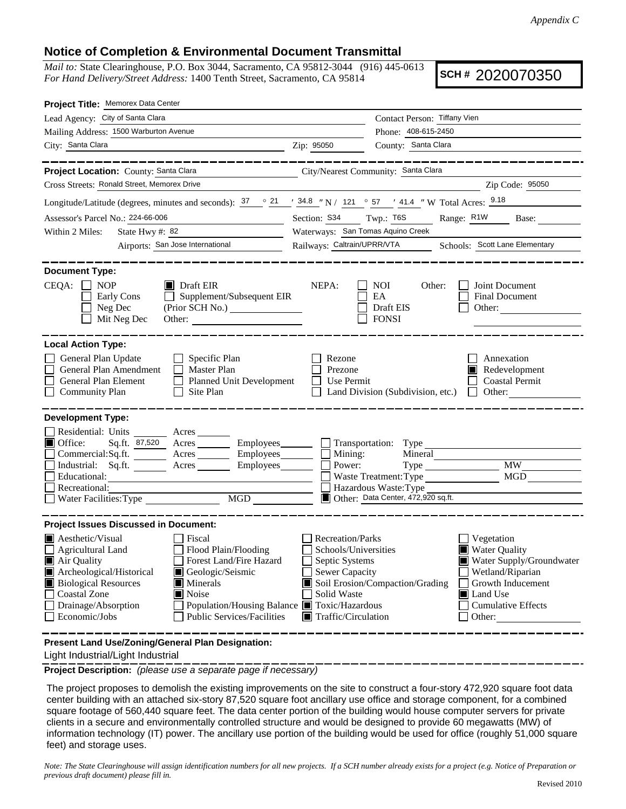## **Notice of Completion & Environmental Document Transmittal**

*Mail to:* State Clearinghouse, P.O. Box 3044, Sacramento, CA 95812-3044 (916) 445-0613 *For Hand Delivery/Street Address:* 1400 Tenth Street, Sacramento, CA 95814

**SCH #** 2020070350

| Project Title: Memorex Data Center                                                                                                                                                                                                                                                                                                                                                                                                                   |                                                                                                                                   |                                                                                                                         |                                                                                                                                                            |
|------------------------------------------------------------------------------------------------------------------------------------------------------------------------------------------------------------------------------------------------------------------------------------------------------------------------------------------------------------------------------------------------------------------------------------------------------|-----------------------------------------------------------------------------------------------------------------------------------|-------------------------------------------------------------------------------------------------------------------------|------------------------------------------------------------------------------------------------------------------------------------------------------------|
| Lead Agency: City of Santa Clara                                                                                                                                                                                                                                                                                                                                                                                                                     |                                                                                                                                   | Contact Person: Tiffany Vien                                                                                            |                                                                                                                                                            |
| Mailing Address: 1500 Warburton Avenue                                                                                                                                                                                                                                                                                                                                                                                                               |                                                                                                                                   | Phone: 408-615-2450                                                                                                     |                                                                                                                                                            |
| City: Santa Clara<br><u> 1989 - Johann Barn, mars eta biztanleria (</u>                                                                                                                                                                                                                                                                                                                                                                              | Zip: 95050                                                                                                                        | County: Santa Clara                                                                                                     |                                                                                                                                                            |
| _________                                                                                                                                                                                                                                                                                                                                                                                                                                            |                                                                                                                                   |                                                                                                                         |                                                                                                                                                            |
| Project Location: County: Santa Clara                                                                                                                                                                                                                                                                                                                                                                                                                |                                                                                                                                   | City/Nearest Community: Santa Clara                                                                                     |                                                                                                                                                            |
| Cross Streets: Ronald Street, Memorex Drive                                                                                                                                                                                                                                                                                                                                                                                                          |                                                                                                                                   |                                                                                                                         | Zip Code: 95050                                                                                                                                            |
| Longitude/Latitude (degrees, minutes and seconds): $\frac{37}{21}$ $\frac{21}{34.8}$ N i 121 $\degree$ 57 $\degree$ 41.4 N Total Acres: $\frac{9.18}{34.8}$                                                                                                                                                                                                                                                                                          |                                                                                                                                   |                                                                                                                         |                                                                                                                                                            |
| Assessor's Parcel No.: 224-66-006<br>Section: S34 Twp.: T6S                                                                                                                                                                                                                                                                                                                                                                                          |                                                                                                                                   |                                                                                                                         | Range: R1W Base:                                                                                                                                           |
| State Hwy #: 82<br>Within 2 Miles:<br><u> 1989 - Johann Barbara, martxa a</u>                                                                                                                                                                                                                                                                                                                                                                        |                                                                                                                                   | Waterways: San Tomas Aquino Creek                                                                                       |                                                                                                                                                            |
| Airports: San Jose International                                                                                                                                                                                                                                                                                                                                                                                                                     | Railways: Caltrain/UPRR/VTA                                                                                                       |                                                                                                                         | Schools: Scott Lane Elementary                                                                                                                             |
| <b>Document Type:</b><br>CEQA:<br>$\blacksquare$ Draft EIR<br><b>NOP</b><br>Supplement/Subsequent EIR<br>Early Cons<br>$\perp$<br>Neg Dec<br>(Prior SCH No.)<br>Mit Neg Dec                                                                                                                                                                                                                                                                          | NEPA:                                                                                                                             | NOI<br>Other:<br>EA<br>Draft EIS<br><b>FONSI</b>                                                                        | Joint Document<br><b>Final Document</b><br>Other:                                                                                                          |
| <b>Local Action Type:</b><br>General Plan Update<br>$\Box$ Specific Plan<br>General Plan Amendment<br>Master Plan<br>General Plan Element<br>□ Planned Unit Development<br><b>Community Plan</b><br>$\Box$ Site Plan                                                                                                                                                                                                                                 | Rezone<br>Prezone<br>Use Permit<br>$\mathbf{L}$                                                                                   | Land Division (Subdivision, etc.)                                                                                       | Annexation<br>Redevelopment<br><b>Coastal Permit</b><br>$\Box$ Other:                                                                                      |
| <b>Development Type:</b><br>Residential: Units ________ Acres _______<br>$\blacksquare$ Office:<br>Sq.ft. 87,520 Acres Employees<br>Commercial:Sq.ft. _________ Acres __________ Employees _______<br>Industrial: Sq.ft.<br>Acres Employees<br>Educational:<br>Recreational:<br>Water Facilities: Type                                                                                                                                               | Mining:<br>Power:                                                                                                                 | Transportation: Type<br>Mineral<br>Waste Treatment: Type<br>Hazardous Waste: Type<br>Other: Data Center, 472,920 sq.ft. | <b>MW</b><br>MGD                                                                                                                                           |
| <b>Project Issues Discussed in Document:</b>                                                                                                                                                                                                                                                                                                                                                                                                         |                                                                                                                                   |                                                                                                                         |                                                                                                                                                            |
| $\blacksquare$ Aesthetic/Visual<br>Fiscal<br>Flood Plain/Flooding<br>$\Box$ Agricultural Land<br>Air Quality<br>Forest Land/Fire Hazard<br>Archeological/Historical<br>Geologic/Seismic<br><b>Biological Resources</b><br>Minerals<br><b>Coastal Zone</b><br>Noise<br>Drainage/Absorption<br>Population/Housing Balance ■ Toxic/Hazardous<br>Economic/Jobs<br><b>Public Services/Facilities</b><br>Present Land Use/Zoning/General Plan Designation: | Recreation/Parks<br>Schools/Universities<br>Septic Systems<br>Sewer Capacity<br>Solid Waste<br>$\blacksquare$ Traffic/Circulation | Soil Erosion/Compaction/Grading                                                                                         | Vegetation<br><b>Water Quality</b><br>Water Supply/Groundwater<br>Wetland/Riparian<br>Growth Inducement<br>Land Use<br><b>Cumulative Effects</b><br>Other: |
|                                                                                                                                                                                                                                                                                                                                                                                                                                                      |                                                                                                                                   |                                                                                                                         |                                                                                                                                                            |

Light Industrial/Light Industrial

**Project Description:** *(please use a separate page if necessary)*

 The project proposes to demolish the existing improvements on the site to construct a four-story 472,920 square foot data center building with an attached six-story 87,520 square foot ancillary use office and storage component, for a combined square footage of 560,440 square feet. The data center portion of the building would house computer servers for private clients in a secure and environmentally controlled structure and would be designed to provide 60 megawatts (MW) of information technology (IT) power. The ancillary use portion of the building would be used for office (roughly 51,000 square feet) and storage uses.

*Note: The State Clearinghouse will assign identification numbers for all new projects. If a SCH number already exists for a project (e.g. Notice of Preparation or previous draft document) please fill in.*